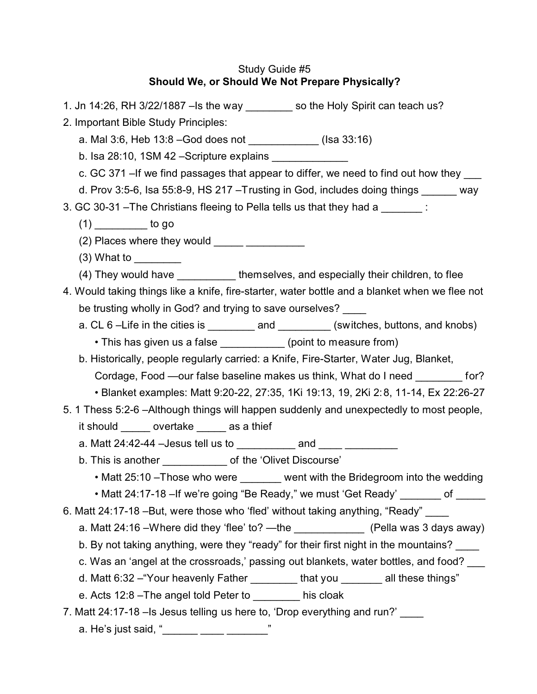# Study Guide #5 **Should We, or Should We Not Prepare Physically?**

- 1. Jn 14:26, RH 3/22/1887 –Is the way \_\_\_\_\_\_\_\_ so the Holy Spirit can teach us? 2. Important Bible Study Principles: a. Mal 3:6, Heb 13:8 –God does not \_\_\_\_\_\_\_\_\_\_\_\_ (Isa 33:16) b. Isa 28:10, 1SM 42 –Scripture explains c. GC 371 – If we find passages that appear to differ, we need to find out how they d. Prov 3:5-6, Isa 55:8-9, HS 217 –Trusting in God, includes doing things \_\_\_\_\_\_ way 3. GC 30-31 – The Christians fleeing to Pella tells us that they had a
	- $(1)$  \_\_\_\_\_\_\_\_\_\_\_\_ to go
	- $(2)$  Places where they would
	- $(3)$  What to
	- (4) They would have themselves, and especially their children, to flee
- 4. Would taking things like a knife, fire-starter, water bottle and a blanket when we flee not be trusting wholly in God? and trying to save ourselves?
	- a. CL 6 –Life in the cities is \_\_\_\_\_\_\_\_\_ and \_\_\_\_\_\_\_\_\_ (switches, buttons, and knobs)
		- This has given us a false **the set of the set of the set of the set of the set of the set of the set of the set of the set of the set of the set of the set of the set of the set of the set of the set of the set of the se**
	- b. Historically, people regularly carried: a Knife, Fire-Starter, Water Jug, Blanket, Cordage, Food —our false baseline makes us think, What do I need for?
		- Blanket examples: Matt 9:20-22, 27:35, 1Ki 19:13, 19, 2Ki 2:8, 11-14, Ex 22:26-27
- 5. 1 Thess 5:2-6 –Although things will happen suddenly and unexpectedly to most people, it should overtake as a thief
	- a. Matt 24:42-44 –Jesus tell us to eand
	- b. This is another exactled the 'Olivet Discourse'
		- Matt 25:10 Those who were went with the Bridegroom into the wedding
		- Matt 24:17-18 –If we're going "Be Ready," we must 'Get Ready' cof
- 6. Matt 24:17-18 –But, were those who 'fled' without taking anything, "Ready" \_\_\_\_
	- a. Matt  $24:16$  –Where did they 'flee' to? —the  $(Pella was 3 days away)$
	- b. By not taking anything, were they "ready" for their first night in the mountains?
	- c. Was an 'angel at the crossroads,' passing out blankets, water bottles, and food?
	- d. Matt 6:32 "Your heavenly Father \_\_\_\_\_\_\_\_\_ that you \_\_\_\_\_\_\_ all these things"
	- e. Acts 12:8 –The angel told Peter to \_\_\_\_\_\_\_\_ his cloak
- 7. Matt 24:17-18 –Is Jesus telling us here to, 'Drop everything and run?'
	- a. He's just said, "\_\_\_\_\_\_ \_\_\_\_ \_\_\_\_\_\_\_\_\_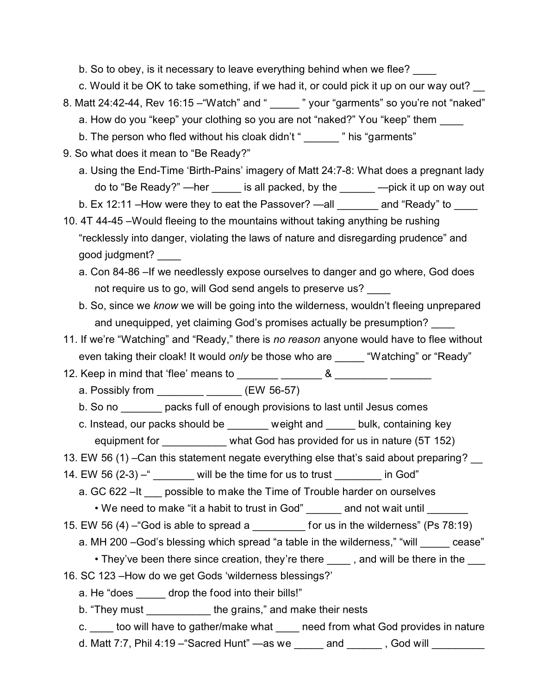b. So to obey, is it necessary to leave everything behind when we flee?

c. Would it be OK to take something, if we had it, or could pick it up on our way out?

- 8. Matt 24:42-44, Rev 16:15 "Watch" and " \_\_\_\_\_ " your "garments" so you're not "naked" a. How do you "keep" your clothing so you are not "naked?" You "keep" them
	- b. The person who fled without his cloak didn't " **with** " his "garments"

9. So what does it mean to "Be Ready?"

a. Using the End-Time 'Birth-Pains' imagery of Matt 24:7-8: What does a pregnant lady do to "Be Ready?" —her \_\_\_\_\_ is all packed, by the \_\_\_\_\_\_ —pick it up on way out

b. Ex 12:11 – How were they to eat the Passover? — all and "Ready" to

10. 4T 44-45 –Would fleeing to the mountains without taking anything be rushing "recklessly into danger, violating the laws of nature and disregarding prudence" and good judgment? \_\_\_\_

a. Con 84-86 –If we needlessly expose ourselves to danger and go where, God does not require us to go, will God send angels to preserve us?

b. So, since we *know* we will be going into the wilderness, wouldn't fleeing unprepared and unequipped, yet claiming God's promises actually be presumption?

11. If we're "Watching" and "Ready," there is *no reason* anyone would have to flee without even taking their cloak! It would *only* be those who are "Watching" or "Ready"

12. Keep in mind that 'flee' means to \_\_\_\_\_\_\_ \_\_\_\_\_\_\_ & \_\_\_\_\_\_\_\_\_ \_\_\_\_\_\_\_

a. Possibly from \_\_\_\_\_\_\_\_\_ \_\_\_\_\_\_ (EW 56-57)

b. So no **packs full of enough provisions to last until Jesus comes** 

c. Instead, our packs should be  $\qquad \qquad$  weight and  $\qquad \qquad$  bulk, containing key

equipment for what God has provided for us in nature (5T 152)

13. EW 56 (1) –Can this statement negate everything else that's said about preparing? \_\_

14. EW 56  $(2-3)$  –" will be the time for us to trust  $\qquad \qquad$  in God"

a. GC 622 –It possible to make the Time of Trouble harder on ourselves

• We need to make "it a habit to trust in God" and not wait until **washing** 

15. EW 56 (4) –"God is able to spread a \_\_\_\_\_\_\_\_\_ for us in the wilderness" (Ps 78:19)

- a. MH 200 -God's blessing which spread "a table in the wilderness," "will cease"
- They've been there since creation, they're there  $\qquad \qquad$ , and will be there in the

16. SC 123 –How do we get Gods 'wilderness blessings?'

a. He "does \_\_\_\_\_ drop the food into their bills!"

b. "They must **the grains,"** and make their nests

c. too will have to gather/make what ened from what God provides in nature

d. Matt 7:7, Phil 4:19 – "Sacred Hunt" —as we \_\_\_\_\_ and \_\_\_\_\_\_, God will \_\_\_\_\_\_\_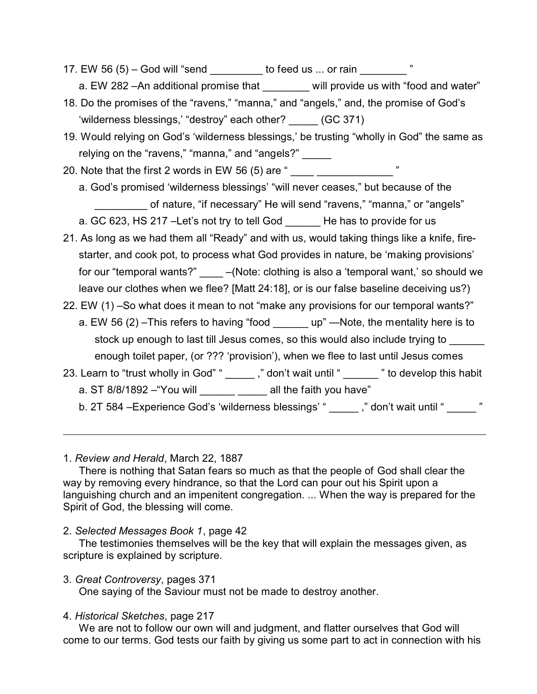- 17. EW 56  $(5)$  God will "send  $\qquad \qquad$  to feed us ... or rain a. EW 282 –An additional promise that will provide us with "food and water"
- 18. Do the promises of the "ravens," "manna," and "angels," and, the promise of God's 'wilderness blessings,' "destroy" each other? \_\_\_\_\_ (GC 371)
- 19. Would relying on God's 'wilderness blessings,' be trusting "wholly in God" the same as relying on the "ravens," "manna," and "angels?"
- 20. Note that the first 2 words in EW 56 (5) are " $\frac{1}{\sqrt{2}}$ 
	- a. God's promised 'wilderness blessings' "will never ceases," but because of the of nature, "if necessary" He will send "ravens," "manna," or "angels"

a. GC 623, HS 217 -Let's not try to tell God \_\_\_\_\_\_ He has to provide for us

- 21. As long as we had them all "Ready" and with us, would taking things like a knife, firestarter, and cook pot, to process what God provides in nature, be 'making provisions' for our "temporal wants?" – –(Note: clothing is also a 'temporal want,' so should we leave our clothes when we flee? [Matt 24:18], or is our false baseline deceiving us?)
- 22. EW (1) –So what does it mean to not "make any provisions for our temporal wants?" a. EW 56 (2) –This refers to having "food up" —Note, the mentality here is to stock up enough to last till Jesus comes, so this would also include trying to enough toilet paper, (or ??? 'provision'), when we flee to last until Jesus comes
- 23. Learn to "trust wholly in God" " \_\_\_\_\_," don't wait until " \_\_\_\_\_\_ " to develop this habit a. ST 8/8/1892 –"You will \_\_\_\_\_\_ \_\_\_\_\_ all the faith you have"
	- b. 2T 584 Experience God's 'wilderness blessings' " ... ," don't wait until "  $\blacksquare$  "

1. *Review and Herald*, March 22, 1887

There is nothing that Satan fears so much as that the people of God shall clear the way by removing every hindrance, so that the Lord can pour out his Spirit upon a languishing church and an impenitent congregation. ... When the way is prepared for the Spirit of God, the blessing will come.

#### 2. *Selected Messages Book 1*, page 42

The testimonies themselves will be the key that will explain the messages given, as scripture is explained by scripture.

#### 3. *Great Controversy*, pages 371

One saying of the Saviour must not be made to destroy another.

## 4. *Historical Sketches*, page 217

We are not to follow our own will and judgment, and flatter ourselves that God will come to our terms. God tests our faith by giving us some part to act in connection with his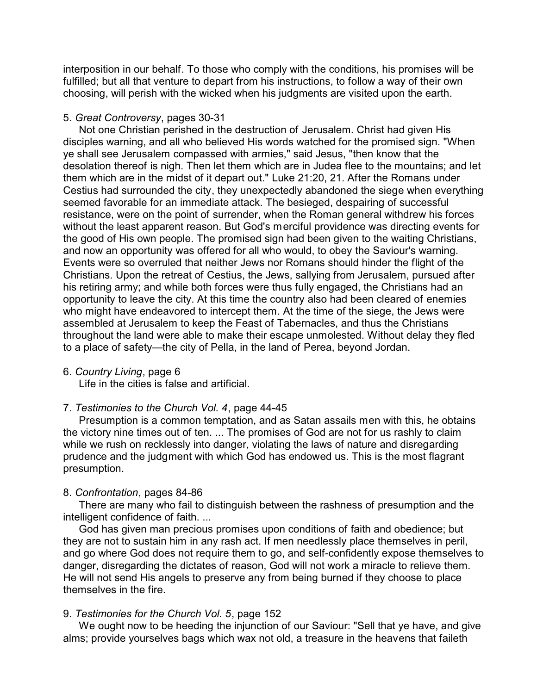interposition in our behalf. To those who comply with the conditions, his promises will be fulfilled; but all that venture to depart from his instructions, to follow a way of their own choosing, will perish with the wicked when his judgments are visited upon the earth.

### 5. *Great Controversy*, pages 30-31

Not one Christian perished in the destruction of Jerusalem. Christ had given His disciples warning, and all who believed His words watched for the promised sign. "When ye shall see Jerusalem compassed with armies," said Jesus, "then know that the desolation thereof is nigh. Then let them which are in Judea flee to the mountains; and let them which are in the midst of it depart out." Luke 21:20, 21. After the Romans under Cestius had surrounded the city, they unexpectedly abandoned the siege when everything seemed favorable for an immediate attack. The besieged, despairing of successful resistance, were on the point of surrender, when the Roman general withdrew his forces without the least apparent reason. But God's merciful providence was directing events for the good of His own people. The promised sign had been given to the waiting Christians, and now an opportunity was offered for all who would, to obey the Saviour's warning. Events were so overruled that neither Jews nor Romans should hinder the flight of the Christians. Upon the retreat of Cestius, the Jews, sallying from Jerusalem, pursued after his retiring army; and while both forces were thus fully engaged, the Christians had an opportunity to leave the city. At this time the country also had been cleared of enemies who might have endeavored to intercept them. At the time of the siege, the Jews were assembled at Jerusalem to keep the Feast of Tabernacles, and thus the Christians throughout the land were able to make their escape unmolested. Without delay they fled to a place of safety—the city of Pella, in the land of Perea, beyond Jordan.

#### 6. *Country Living*, page 6

Life in the cities is false and artificial.

## 7. *Testimonies to the Church Vol. 4*, page 44-45

Presumption is a common temptation, and as Satan assails men with this, he obtains the victory nine times out of ten. ... The promises of God are not for us rashly to claim while we rush on recklessly into danger, violating the laws of nature and disregarding prudence and the judgment with which God has endowed us. This is the most flagrant presumption.

## 8. *Confrontation*, pages 84-86

There are many who fail to distinguish between the rashness of presumption and the intelligent confidence of faith. ...

God has given man precious promises upon conditions of faith and obedience; but they are not to sustain him in any rash act. If men needlessly place themselves in peril, and go where God does not require them to go, and self-confidently expose themselves to danger, disregarding the dictates of reason, God will not work a miracle to relieve them. He will not send His angels to preserve any from being burned if they choose to place themselves in the fire.

## 9. *Testimonies for the Church Vol. 5*, page 152

We ought now to be heeding the injunction of our Saviour: "Sell that ye have, and give alms; provide yourselves bags which wax not old, a treasure in the heavens that faileth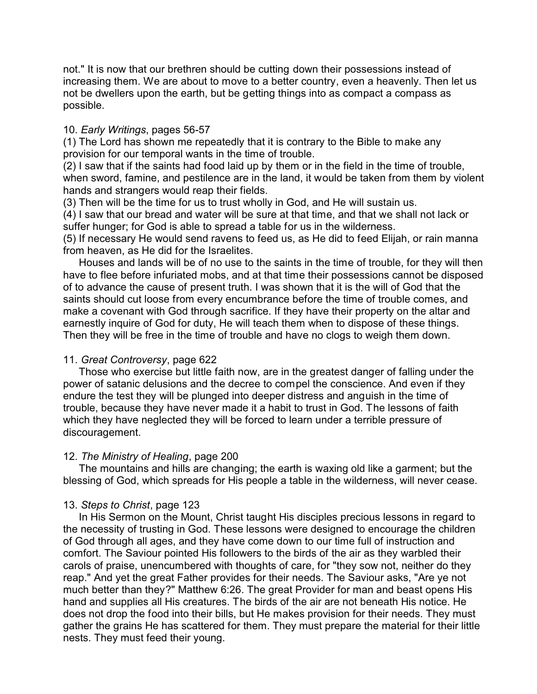not." It is now that our brethren should be cutting down their possessions instead of increasing them. We are about to move to a better country, even a heavenly. Then let us not be dwellers upon the earth, but be getting things into as compact a compass as possible.

## 10. *Early Writings*, pages 56-57

(1) The Lord has shown me repeatedly that it is contrary to the Bible to make any provision for our temporal wants in the time of trouble.

(2) I saw that if the saints had food laid up by them or in the field in the time of trouble, when sword, famine, and pestilence are in the land, it would be taken from them by violent hands and strangers would reap their fields.

(3) Then will be the time for us to trust wholly in God, and He will sustain us.

(4) I saw that our bread and water will be sure at that time, and that we shall not lack or suffer hunger; for God is able to spread a table for us in the wilderness.

(5) If necessary He would send ravens to feed us, as He did to feed Elijah, or rain manna from heaven, as He did for the Israelites.

Houses and lands will be of no use to the saints in the time of trouble, for they will then have to flee before infuriated mobs, and at that time their possessions cannot be disposed of to advance the cause of present truth. I was shown that it is the will of God that the saints should cut loose from every encumbrance before the time of trouble comes, and make a covenant with God through sacrifice. If they have their property on the altar and earnestly inquire of God for duty, He will teach them when to dispose of these things. Then they will be free in the time of trouble and have no clogs to weigh them down.

## 11. *Great Controversy*, page 622

Those who exercise but little faith now, are in the greatest danger of falling under the power of satanic delusions and the decree to compel the conscience. And even if they endure the test they will be plunged into deeper distress and anguish in the time of trouble, because they have never made it a habit to trust in God. The lessons of faith which they have neglected they will be forced to learn under a terrible pressure of discouragement.

## 12. *The Ministry of Healing*, page 200

The mountains and hills are changing; the earth is waxing old like a garment; but the blessing of God, which spreads for His people a table in the wilderness, will never cease.

# 13. *Steps to Christ*, page 123

In His Sermon on the Mount, Christ taught His disciples precious lessons in regard to the necessity of trusting in God. These lessons were designed to encourage the children of God through all ages, and they have come down to our time full of instruction and comfort. The Saviour pointed His followers to the birds of the air as they warbled their carols of praise, unencumbered with thoughts of care, for "they sow not, neither do they reap." And yet the great Father provides for their needs. The Saviour asks, "Are ye not much better than they?" Matthew 6:26. The great Provider for man and beast opens His hand and supplies all His creatures. The birds of the air are not beneath His notice. He does not drop the food into their bills, but He makes provision for their needs. They must gather the grains He has scattered for them. They must prepare the material for their little nests. They must feed their young.